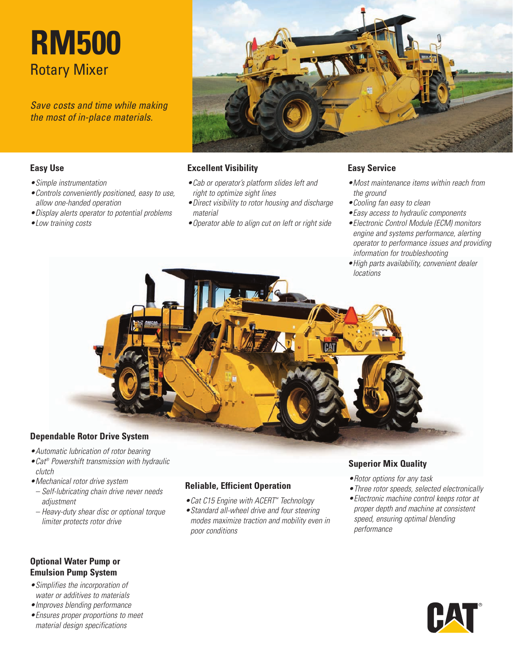# **RM500** Rotary Mixer

*Save costs and time while making the most of in-place materials.*



### **Easy Use**

- *•Simple instrumentation*
- *•Controls conveniently positioned, easy to use, allow one-handed operation*
- *•Display alerts operator to potential problems*
- *•Low training costs*

#### **Excellent Visibility**

- *•Cab or operator's platform slides left and right to optimize sight lines*
- *•Direct visibility to rotor housing and discharge material*
- *•Operator able to align cut on left or right side*

### **Easy Service**

- *•Most maintenance items within reach from the ground*
- *•Cooling fan easy to clean*
- *•Easy access to hydraulic components*
- *•Electronic Control Module (ECM) monitors engine and systems performance, alerting operator to performance issues and providing information for troubleshooting*
- *•High parts availability, convenient dealer locations*



- 
- *•Automatic lubrication of rotor bearing*
- *•Cat® Powershift transmission with hydraulic clutch*
- *•Mechanical rotor drive system*
- *– Self-lubricating chain drive never needs adjustment*
- *– Heavy-duty shear disc or optional torque limiter protects rotor drive*

# **Reliable, Efficient Operation**

- *•Cat C15 Engine with ACERT™ Technology*
- *•Standard all-wheel drive and four steering modes maximize traction and mobility even in poor conditions*

## **Superior Mix Quality**

- *•Rotor options for any task*
- *•Three rotor speeds, selected electronically*
- *•Electronic machine control keeps rotor at proper depth and machine at consistent speed, ensuring optimal blending performance*

## **Optional Water Pump or Emulsion Pump System**

- *•Simplifies the incorporation of water or additives to materials*
- *•Improves blending performance*
- *•Ensures proper proportions to meet material design specifications*